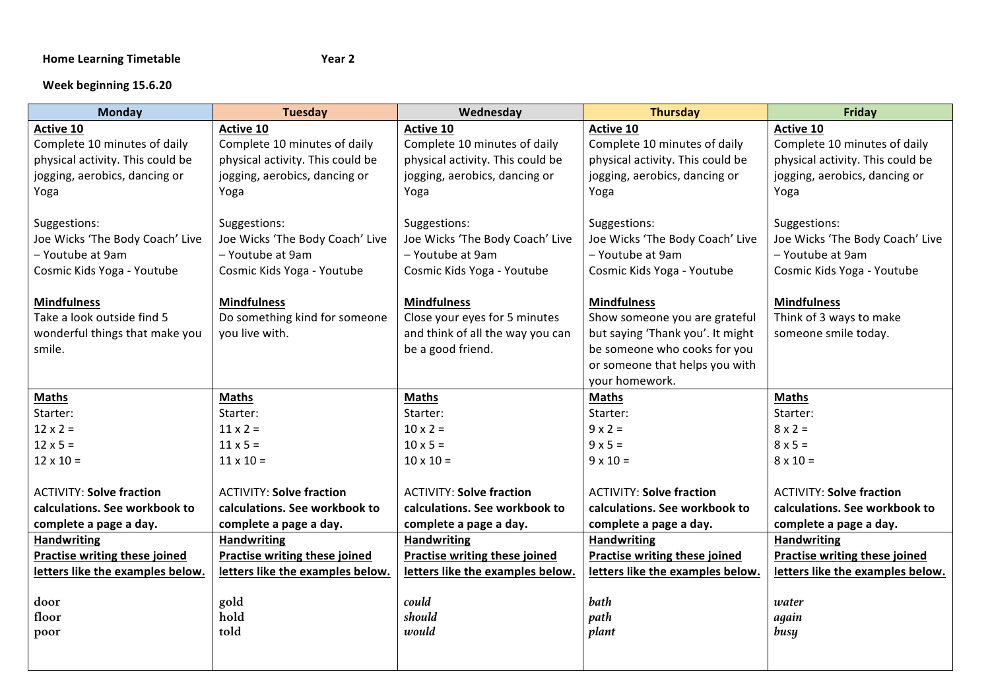## Home Learning Timetable **And Contained Times 1998** Year 2

## **Week beginning 15.6.20**

| <b>Monday</b>                    | <b>Tuesday</b>                   | Wednesday                                                            | <b>Thursday</b>                  | Friday                           |
|----------------------------------|----------------------------------|----------------------------------------------------------------------|----------------------------------|----------------------------------|
| Active 10                        | <b>Active 10</b>                 | <b>Active 10</b>                                                     | <b>Active 10</b>                 | <b>Active 10</b>                 |
| Complete 10 minutes of daily     | Complete 10 minutes of daily     | Complete 10 minutes of daily                                         | Complete 10 minutes of daily     |                                  |
| physical activity. This could be | physical activity. This could be | physical activity. This could be<br>physical activity. This could be |                                  | physical activity. This could be |
| jogging, aerobics, dancing or    | jogging, aerobics, dancing or    | jogging, aerobics, dancing or                                        | jogging, aerobics, dancing or    | jogging, aerobics, dancing or    |
| Yoga                             | Yoga                             | Yoga                                                                 | Yoga                             | Yoga                             |
|                                  |                                  |                                                                      |                                  |                                  |
| Suggestions:                     | Suggestions:                     | Suggestions:                                                         | Suggestions:                     | Suggestions:                     |
| Joe Wicks 'The Body Coach' Live  | Joe Wicks 'The Body Coach' Live  | Joe Wicks 'The Body Coach' Live                                      | Joe Wicks 'The Body Coach' Live  | Joe Wicks 'The Body Coach' Live  |
| - Youtube at 9am                 | - Youtube at 9am                 | - Youtube at 9am                                                     | - Youtube at 9am                 | - Youtube at 9am                 |
| Cosmic Kids Yoga - Youtube       | Cosmic Kids Yoga - Youtube       | Cosmic Kids Yoga - Youtube                                           | Cosmic Kids Yoga - Youtube       | Cosmic Kids Yoga - Youtube       |
|                                  |                                  |                                                                      |                                  |                                  |
| <b>Mindfulness</b>               | <b>Mindfulness</b>               | <b>Mindfulness</b>                                                   | <b>Mindfulness</b>               | <b>Mindfulness</b>               |
| Take a look outside find 5       | Do something kind for someone    | Close your eyes for 5 minutes                                        | Show someone you are grateful    | Think of 3 ways to make          |
| wonderful things that make you   | you live with.                   | and think of all the way you can                                     | but saying 'Thank you'. It might | someone smile today.             |
| smile.                           |                                  | be a good friend.                                                    | be someone who cooks for you     |                                  |
|                                  |                                  |                                                                      | or someone that helps you with   |                                  |
|                                  |                                  |                                                                      | your homework.                   |                                  |
| <b>Maths</b>                     | <b>Maths</b>                     | <b>Maths</b>                                                         | <b>Maths</b>                     | <b>Maths</b>                     |
| Starter:                         | Starter:                         | Starter:                                                             | Starter:                         | Starter:                         |
| $12 \times 2 =$                  | $11 \times 2 =$                  | $10 \times 2 =$                                                      | $9 \times 2 =$                   | $8 \times 2 =$                   |
| $12 \times 5 =$                  | $11 \times 5 =$                  | $10 \times 5 =$                                                      | $9 \times 5 =$                   | $8 \times 5 =$                   |
| $12 \times 10 =$                 | $11 \times 10 =$                 | $10 \times 10 =$                                                     | $9 \times 10 =$                  | $8 \times 10 =$                  |
|                                  |                                  |                                                                      |                                  |                                  |
| <b>ACTIVITY: Solve fraction</b>  | <b>ACTIVITY: Solve fraction</b>  | <b>ACTIVITY: Solve fraction</b>                                      | <b>ACTIVITY: Solve fraction</b>  | <b>ACTIVITY: Solve fraction</b>  |
| calculations. See workbook to    | calculations. See workbook to    | calculations. See workbook to                                        | calculations. See workbook to    | calculations. See workbook to    |
| complete a page a day.           | complete a page a day.           | complete a page a day.                                               | complete a page a day.           | complete a page a day.           |
| <b>Handwriting</b>               | <b>Handwriting</b>               | <b>Handwriting</b>                                                   | <b>Handwriting</b>               | <b>Handwriting</b>               |
| Practise writing these joined    | Practise writing these joined    | Practise writing these joined                                        | Practise writing these joined    | Practise writing these joined    |
| letters like the examples below. | letters like the examples below. | letters like the examples below.                                     | letters like the examples below. | letters like the examples below. |
|                                  |                                  |                                                                      |                                  |                                  |
| door                             | gold                             | could                                                                | bath                             | water                            |
| floor                            | hold<br>told                     | should<br>would                                                      | path                             | again                            |
| poor                             |                                  |                                                                      | plant                            | busy                             |
|                                  |                                  |                                                                      |                                  |                                  |
|                                  |                                  |                                                                      |                                  |                                  |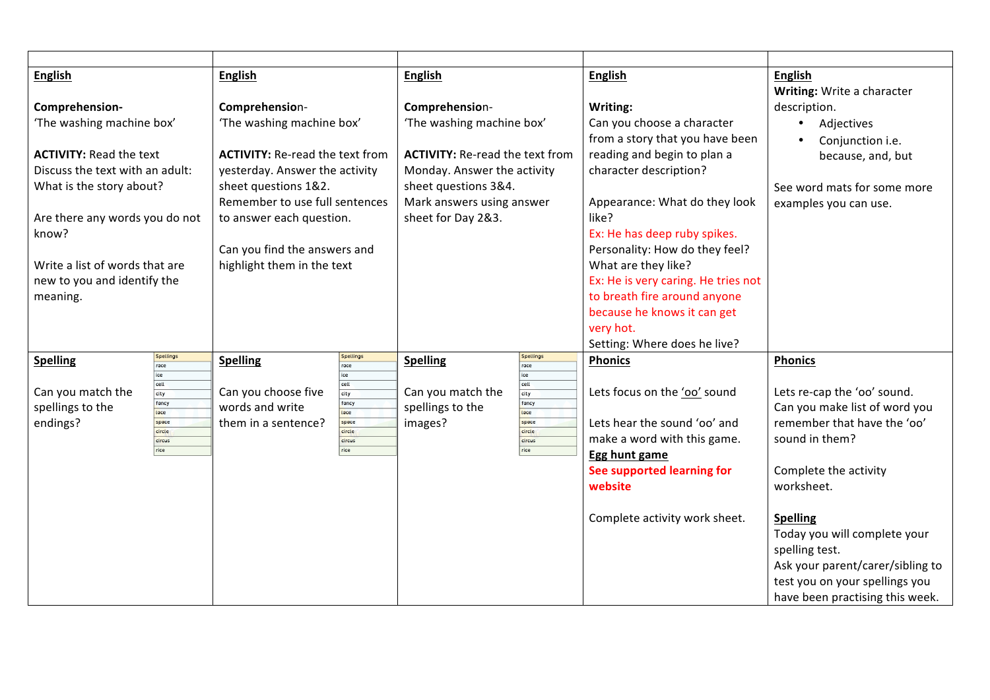| <b>English</b>                  |                  | <b>English</b>                         | <b>English</b>                         |                          | <b>English</b>                           | <b>English</b>                   |
|---------------------------------|------------------|----------------------------------------|----------------------------------------|--------------------------|------------------------------------------|----------------------------------|
|                                 |                  |                                        |                                        |                          |                                          | Writing: Write a character       |
| Comprehension-                  |                  | Comprehension-                         | Comprehension-                         |                          | Writing:                                 | description.                     |
| 'The washing machine box'       |                  | 'The washing machine box'              | 'The washing machine box'              |                          | Can you choose a character               | Adjectives<br>$\bullet$          |
|                                 |                  |                                        |                                        |                          | from a story that you have been          | Conjunction i.e.                 |
| <b>ACTIVITY: Read the text</b>  |                  | <b>ACTIVITY: Re-read the text from</b> | <b>ACTIVITY: Re-read the text from</b> |                          | reading and begin to plan a              | because, and, but                |
| Discuss the text with an adult: |                  | yesterday. Answer the activity         | Monday. Answer the activity            |                          | character description?                   |                                  |
| What is the story about?        |                  | sheet questions 1&2.                   | sheet questions 3&4.                   |                          |                                          | See word mats for some more      |
|                                 |                  | Remember to use full sentences         | Mark answers using answer              |                          | Appearance: What do they look            | examples you can use.            |
| Are there any words you do not  |                  | to answer each question.               | sheet for Day 2&3.                     |                          | like?                                    |                                  |
| know?                           |                  |                                        |                                        |                          | Ex: He has deep ruby spikes.             |                                  |
|                                 |                  | Can you find the answers and           |                                        |                          | Personality: How do they feel?           |                                  |
| Write a list of words that are  |                  | highlight them in the text             |                                        |                          | What are they like?                      |                                  |
| new to you and identify the     |                  |                                        |                                        |                          | Ex: He is very caring. He tries not      |                                  |
| meaning.                        |                  |                                        |                                        |                          | to breath fire around anyone             |                                  |
|                                 |                  |                                        |                                        |                          | because he knows it can get<br>very hot. |                                  |
|                                 |                  |                                        |                                        |                          | Setting: Where does he live?             |                                  |
| <b>Spelling</b>                 | Spellings        | Spellings<br><b>Spelling</b>           | <b>Spelling</b>                        | Spellings                | <b>Phonics</b>                           | <b>Phonics</b>                   |
|                                 | race<br>ice      | race<br>ice                            |                                        | race<br>ice              |                                          |                                  |
| Can you match the               | ceII<br>city     | cell<br>Can you choose five<br>city    | Can you match the                      | cell<br>$\overline{cty}$ | Lets focus on the 'oo' sound             | Lets re-cap the 'oo' sound.      |
| spellings to the                | fancy            | fancy<br>words and write               | spellings to the                       | fancy                    |                                          | Can you make list of word you    |
| endings?                        | lace<br>space    | lace<br>space<br>them in a sentence?   | images?                                | lace<br>space            | Lets hear the sound 'oo' and             | remember that have the 'oo'      |
|                                 | circle<br>circus | circle<br>circus                       |                                        | circle<br>circus         | make a word with this game.              | sound in them?                   |
|                                 | rice             | rice                                   |                                        | rice                     | Egg hunt game                            |                                  |
|                                 |                  |                                        |                                        |                          | See supported learning for               | Complete the activity            |
|                                 |                  |                                        |                                        |                          | website                                  | worksheet.                       |
|                                 |                  |                                        |                                        |                          |                                          |                                  |
|                                 |                  |                                        |                                        |                          | Complete activity work sheet.            | <b>Spelling</b>                  |
|                                 |                  |                                        |                                        |                          |                                          | Today you will complete your     |
|                                 |                  |                                        |                                        |                          |                                          | spelling test.                   |
|                                 |                  |                                        |                                        |                          |                                          | Ask your parent/carer/sibling to |
|                                 |                  |                                        |                                        |                          |                                          | test you on your spellings you   |
|                                 |                  |                                        |                                        |                          |                                          | have been practising this week.  |